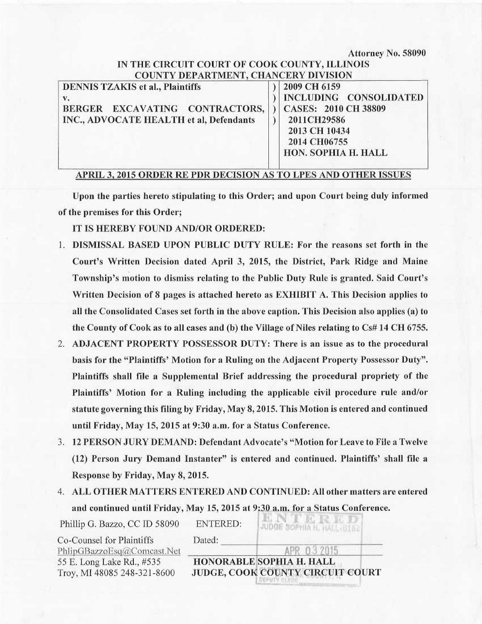Attorney No. 58090

### IN THE CIRCUIT COURT Or COOK COUNTY, ILLINOIS COUNTY DEPARTMENT. CHANCERY DIVISION

| <b>DENNIS TZAKIS et al., Plaintiffs</b>                                                    | 2009 CH 6159                                                                                                                 |
|--------------------------------------------------------------------------------------------|------------------------------------------------------------------------------------------------------------------------------|
| $V_{\bullet}$<br>BERGER EXCAVATING CONTRACTORS,<br>INC., ADVOCATE HEALTH et al, Defendants | INCLUDING CONSOLIDATED<br><b>CASES: 2010 CH 38809</b><br>2011CH29586<br>2013 CH 10434<br>2014 CH06755<br>HON. SOPHIA H. HALL |

# APRIL 3, 2015 ORDER RE PDR DECISION AS TO LPES AND OTHER ISSUES

Upon the parties hereto stipulating to this Order; and upon Court being duly informed of the premises for this Order;

IT IS HEREBY FOUND AND/OR ORDERED:

- 1. DISMISSAL BASED UPON PUBLIC DUTY RULE: For the reasons set forth in the Court's Written Decision dated April 3, 2015, the District, Park Ridge and Maine Township's motion to dismiss relating to the Public Duty Rule is granted. Said Court's Written Decision of 8 pages is attached hereto as EXHIBIT A. This Decision applies to all the Consolidated Cases set forth in the above caption. This Decision also applies (a) to the County of Cook as to all cases and (b) the Village of Niles relating to Cs# 14 CH 6755.
- 2. ADJACENT PROPERTY POSSESSOR DUTY: There is an issue as to the procedural basis for the "Plaintiffs' Motion for a Ruling on the Adjacent Property Possessor Duty". Plaintiffs shall file a Supplemental Brief addressing the procedural propriety of the Plaintiffs' Motion for a Ruling including the applicable civil procedure rule and/or statute governing this filing by Friday, May 8, 2015. This Motion is entered and continued until Friday, May 15, 2015 at 9:30 a.m. for a Status Conference.
- 3. 12 PERSON JURY DEMAND: Defendant Advocate's "Motion for Leave to File a Twelve (12) Person Jury Demand Instanter" is entered and continued. Plaintiffs' shall file a Response by Friday, May 8, 2015.
- 4. ALL OTHER MATTERS ENTERED AND CONTINUED: All other matters are entered and continued until Friday, May 15, 2015 at 9:30 a.m. for a Status Conference.

| Phillip G. Bazzo, CC ID 58090 | <b>ENTERED:</b> | <b><i>AJUDGE SOPHIA H. HALL ULT</i></b> |
|-------------------------------|-----------------|-----------------------------------------|
| Co-Counsel for Plaintiffs     | Dated:          |                                         |
| PhlipGBazzoEsq@Comcast.Net    |                 |                                         |
| 55 E. Long Lake Rd., #535     |                 | HONORABLE SOPHIA H. HALL                |
| Troy, MI 48085 248-321-8600   |                 | JUDGE, COOK COUNTY CIRCUIT COURT        |
|                               |                 |                                         |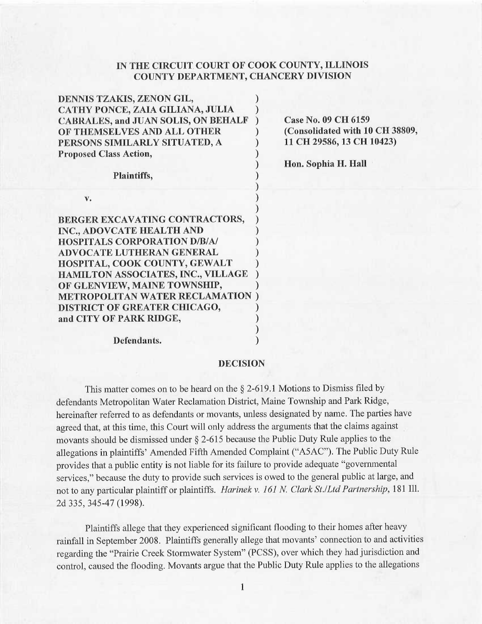## IN THE CIRCUIT. COURT OF COOK COUNTY, ILLINOIS COUNTY DEPARTMENT, CHANCERY DIVISION

| <b>Case No. 09 CH 6159</b>      |  |
|---------------------------------|--|
| (Consolidated with 10 CH 38809, |  |
| 11 CH 29586, 13 CH 10423)       |  |
|                                 |  |
| Hon. Sophia H. Hall             |  |
|                                 |  |
|                                 |  |
|                                 |  |
|                                 |  |
|                                 |  |
|                                 |  |
|                                 |  |
|                                 |  |
|                                 |  |
|                                 |  |
|                                 |  |
|                                 |  |
|                                 |  |

Defendants.

#### DECISION

This matter comes on to be heard on the § 2-619.1 Motions to Dismiss filed by defendants Metropolitan Water Reclamation District, Maine Township and Park Ridge, hereinafter referred to as defendants or movants, unless designated by name. The parties have agreed that, at this time, this Court will only address the arguments that the claims against movants should be dismissed under § 2-615 because the Public Duty Rule applies to the allegations in plaintiffs' Amended Fifth Amended Complaint ("ASAC"). The Public Duty Rule provides that a public entity is not liable for its failure to provide adequate "governmental services," because the duty to provide such services is owed to the general public at large, and not to any particular plaintiff or plaintiffs. Harinek v. 161 N. Clark St./Ltd Partnership, 181 Ill. 2d 335, 345-47 (1998).

Plaintiffs allege that they experienced significant flooding to their homes after heavy rainfall in September 2008. Plaintiffs generally allege that movants' connection to and activities regarding the "Prairie Creek Stormwater System" (PCSS), over which they had jurisdiction and control, caused the flooding. Movants argue that the Public Duty Rule applies to the allegations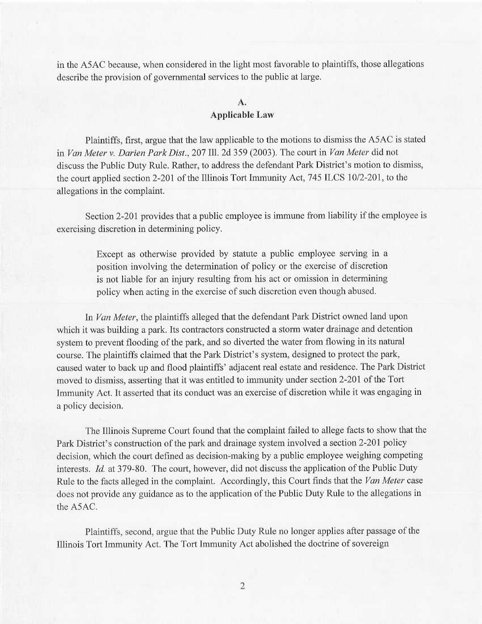in the ASAC because, when considered in the light most favorable to plaintiffs, those allegations describe the provision of governmental services to the public at large.

## A. **Applicable Law**

Plaintiffs, first, argue that the law applicable to the motions to dismiss the ASAC is stated in Van Meter v. Darien Park Dist., 207 Ill. 2d 359 (2003). The court in Van Meter did not discuss the Public Duty Rule. Rather, to address the defendant Park District's motion to dismiss, the court applied section 2-201 of the Illinois Tort Immunity Act, 745 ILCS 10/2-201, to the allegations in the complaint.

Section 2-201 provides that a public employee is immune from liability if the employee is exercising discretion in determining policy.

> Except as otherwise provided by statute a public employee serving in <sup>a</sup> position involving the determination of policy or the exercise of discretion is not liable for an injury resulting from his act or omission in determining policy when acting in the exercise of such discretion even though abused.

In Van Meter, the plaintiffs alleged that the defendant Park District owned land upon which it was building a park. Its contractors constructed a storm water drainage and detention system to prevent flooding of the park, and so diverted the water from flowing in its natural course. The plaintiffs claimed that the Park District's system, designed to protect the park, caused water to back up and flood plaintiffs' adjacent real estate and residence. The Park District moved to dismiss, asserting that it was entitled to immunity under section 2-201 of the Tort Immunity Act. It asserted that its conduct was an exercise of discretion while it was engaging in a policy decision.

The Illinois Supreme Court found that the complaint failed to allege facts to show that the Park District's construction of the park and drainage system involved a section 2-201 policy decision, which the court defined as decision-making by a public employee weighing competing interests. Id. at 379-80. The court, however, did not discuss the application of the Public Duty Rule to the facts alleged in the complaint. Accordingly, this Court finds that the Van Meter case does not provide any guidance as to the application of the Public Duty Rule to the allegations in the ASAC.

Plaintiffs, second, argue that the Public Duty Rule no longer applies after passage of the Illinois Tort Immunity Act. The Tort Immunity Act abolished the doctrine of sovereign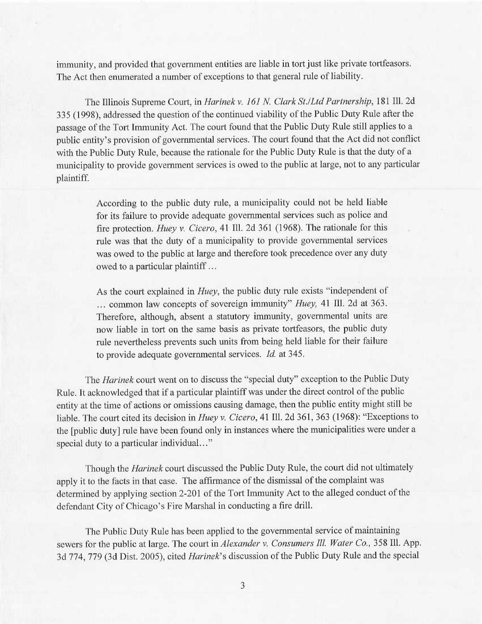immunity, and provided that government entities are liable in tort just like private tortfeasors. The Act then enumerated a number of exceptions to that general rule of liability.

The Illinois Supreme Court, in Harinek v. 161 N. Clark St./Ltd Partnership, 181 Ill. 2d 335 (1998), addressed the question of the continued viability of the Public Duty Rule after the passage of the Tort Immunity Act. The court found that the Public Duty Rule still applies to <sup>a</sup> public entity's provision of governmental services. The court found that the Act did not conflict with the Public Duty Rule, because the rationale for the Public Duty Rule is that the duty of <sup>a</sup> municipality to provide government services is owed to the public at large, not to any particular plaintiff.

> According to the public duty rule, a municipality could not be held liable for its failure to provide adequate governmental services such as police and fire protection. Huey v. Cicero, 41 Ill. 2d 361 (1968). The rationale for this rule was that the duty of a municipality to provide governmental services was owed to the public at large and therefore took precedence over any duty owed to a particular plaintiff ...

> As the court explained in *Huey*, the public duty rule exists "independent of ... common law concepts of sovereign immunity" Huey, 41 Ill. 2d at 363. Therefore, although, absent a statutory immunity, governmental units are now liable in tort on the same basis as private tortfeasors, the public duty rule nevertheless prevents such units from being held liable for their failure to provide adequate governmental services. Id. at 345.

The *Harinek* court went on to discuss the "special duty" exception to the Public Duty Rule. It acknowledged that if a particular plaintiff was under the direct control of the public entity at the time of actions or omissions causing damage, then the public entity might still be liable. The court cited its decision in Huey v. Cicero, 41 Ill. 2d 361, 363 (1968): "Exceptions to the [public duty] rule have been found only in instances where the municipalities were under <sup>a</sup> special duty to a particular individual..."

Though the Harinek court discussed the Public Duty Rule, the court did not ultimately apply it to the facts in that case. The affirmance of the dismissal of the complaint was determined by applying section 2-201 of the Tort Immunity Act to the alleged conduct of the defendant City of Chicago's Fire Marshal in conducting a fire drill.

The Public Duty Rule has been applied to the governmental service of maintaining sewers for the public at large. The court in Alexander v. Consumers III. Water Co., 358 III. App. 3d 774, 779 (3d Dist. 2005), cited Harinek's discussion of the Public Duty Rule and the special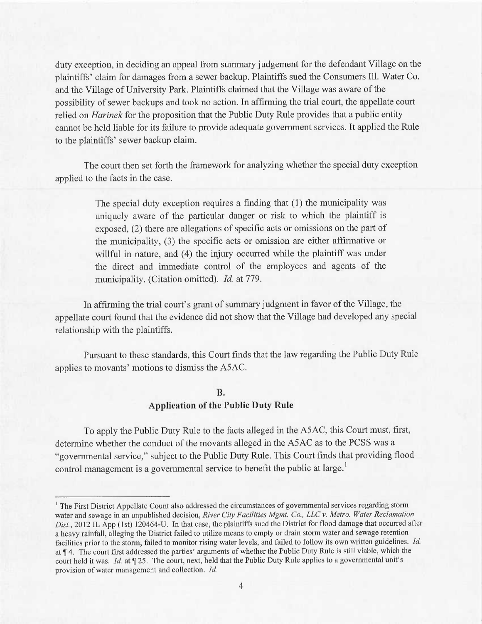duty exception, in deciding an appeal from summary judgement for the defendant Village on the plaintiffs' claim for damages from a sewer backup. Plaintiffs sued the Consumers Ill. Water Co. and the Village of University Park. Plaintiffs claimed that the Village was aware of the possibility of sewer backups and took no action. In affirming the trial court, the appellate court relied on *Harinek* for the proposition that the Public Duty Rule provides that a public entity cannot be held liable for its failure to provide adequate government services. It applied the Rule to the plaintiffs' sewer backup claim.

The court then set forth the framework for analyzing whether the special duty exception applied to the facts in the case.

> The special duty exception requires a finding that (1) the municipality was uniquely aware of the particular danger or risk to which the plaintiff is exposed, (2) there are allegations of specific acts or omissions on the part of the municipality, (3) the specific acts or omission are either affirmative or willful in nature, and (4) the injury occurred while the plaintiff was under the direct and immediate control of the employees and agents of the municipality. (Citation omitted). Id. at 779.

In affirming the trial court's grant of summary judgment in favor of the Village, the appellate court found that the evidence did not show that the Village had developed any special relationship with the plaintiffs.

Pursuant to these standards, this Court finds that the law regarding the Public Duty Rule applies to movants' motions to dismiss the ASAC.

# B. Application of the Public Duty Rule

To apply the Public Duty Rule to the facts alleged in the ASAC, this Court must, first, determine whether the conduct of the movants alleged in the ASAC as to the PCSS was <sup>a</sup> "governmental service," subject to the Public Duty Rule. This Court finds that providing flood control management is a governmental service to benefit the public at large.<sup>1</sup>

<sup>1</sup> The First District Appellate Count also addressed the circumstances of governmental services regarding storm water and sewage in an unpublished decision, River City Facilities Mgmt. Co., LLC v. Metro. Water Reclamation Dist., 2012 IL App (1st) 120464-U. In that case, the plaintiffs sued the District for flood damage that occurred after <sup>a</sup>heavy rainfall, alleging the District failed to utilize means to empty or drain storm water and sewage retention facilities prior to the storm, failed to monitor rising water levels, and failed to follow its own written guidelines. Id. at ¶ 4. The court first addressed the parties' arguments of whether the Public Duty Rule is still viable, which the court held it was. Id. at  $\P$  25. The court, next, held that the Public Duty Rule applies to a governmental unit's provision of water management and collection. Id.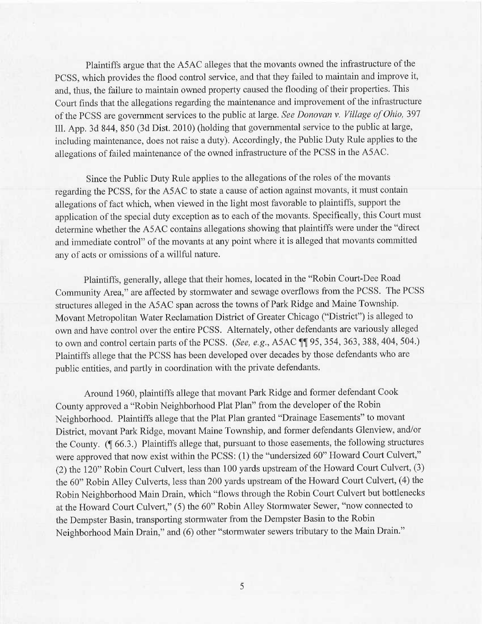Plaintiffs argue that the ASAC alleges that the movants owned the infrastructure of the PCSS, which provides the flood control service, and that they failed to maintain and improve it, and, thus, the failure to maintain owned property caused the flooding of their properties. This Court finds that the allegations regarding the maintenance and improvement of the infrastructure of the PCSS are government services to the public at large. See Donovan v. Village of Ohio, <sup>397</sup> Ill. App. 3d 844, 850 (3d Dist. 2010) (holding that governmental service to the public at large, including maintenance, does not raise a duty). Accordingly, the Public Duty Rule applies to the allegations of failed maintenance of the owned infrastructure of the PCSS in the ASAC.

Since the Public Duty Rule applies to the allegations of the roles of the movants regarding the PCSS, for the ASAC to state a cause of action against movants, it must contain allegations of fact which, when viewed in the light most favorable to plaintiffs, support the application of the special duty exception as to each of the movants. Specifically, this Court must determine whether the ASAC contains allegations showing that plaintiffs were under the "direct and immediate control" of the movants at any point where it is alleged that movants committed any of acts or omissions of a willful nature.

Plaintiffs, generally, allege that their homes, located in the "Robin Court-Dee Road Community Area," are affected by stormwater and sewage overflows from the PCSS. The PCSS structures alleged in the ASAC span across the towns of Park Ridge and Maine Township. Movant Metropolitan Water Reclamation District of Greater Chicago ("District") is alleged to own and have control over the entire PCSS. Alternately, other defendants are variously alleged to own and control certain parts of the PCSS. (See, e.g., ASAC ¶¶ 95, 354, 363, 388, 404, 504.) Plaintiffs allege that the PCSS has been developed over decades by those defendants who are public entities, and partly in coordination with the private defendants.

Around 1960, plaintiffs allege that movant Park Ridge and former defendant Cook County approved a "Robin Neighborhood Plat Plan" from the developer of the Robin Neighborhood. Plaintiffs allege that the Plat Plan granted "Drainage Easements" to movant District, movant Park Ridge, movant Maine Township, and former defendants Glenview, and/or the County. (¶ 66.3.) Plaintiffs allege that, pursuant to those easements, the following structures were approved that now exist within the PCSS: (1) the "undersized 60" Howard Court Culvert," (2) the 120" Robin Court Culvert, less than 100 yards upstream of the Howard Court Culvert, (3) the 60" Robin Alley Culverts, less than 200 yards upstream of the Howard Court Culvert, (4) the Robin Neighborhood Main Drain, which "flows through the Robin Court Culvert but bottlenecks at the Howaxd Court Culvert," (5) the 60" Robin Alley Stormwater Sewer, "now connected to the Dempster Basin, transporting stormwater from the Dempster Basin to the Robin Neighborhood Main Drain," and (6) other "stormwater sewers tributary to the Main Drain."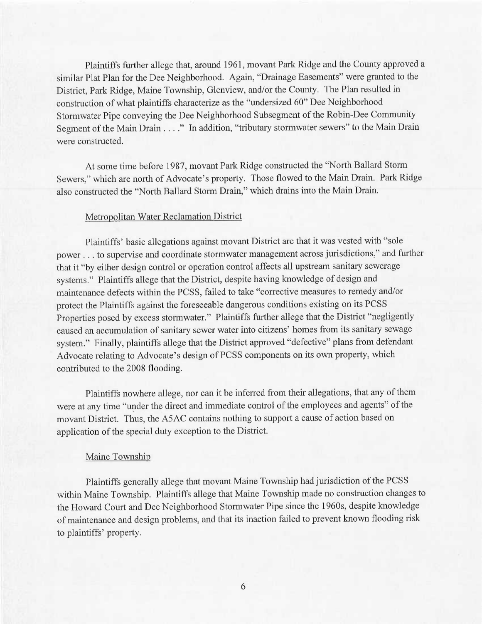Plaintiffs further allege that, around 1961, movant Park Ridge and the County approved <sup>a</sup> similar Plat Plan for the Dee Neighborhood. Again, "Drainage Easements" were granted to the District, Park Ridge, Maine Township, Glenview, and/or the County. The Plan resulted in construction of what plaintiffs characterize as the "undersized 60" Dee Neighborhood Stormwater Pipe conveying the Dee Neighborhood Subsegment of the Robin-Dee Community Segment of the Main Drain . . . ." In addition, "tributary stormwater sewers" to the Main Drain were constructed.

At some time before 1987, movant Park Ridge constructed the "North Ballard Storm Sewers," which are north of Advocate's property. Those flowed to the Main Drain. Park Ridge also constructed the "North Ballard Storm Drain," which drains into the Main Drain.

### Metropolitan Water Reclamation District

Plaintiffs' basic allegations against movant District are that it was vested with "sole power ... to supervise and coordinate stormwater management across jurisdictions," and further that it "by either design control or operation control affects all upstream sanitary sewerage systems." Plaintiffs allege that the District, despite having knowledge of design and maintenance defects within the PCSS, failed to take "corrective measures to remedy and/or protect the Plaintiffs against the foreseeable dangerous conditions existing on its PCSS Properties posed by excess stormwater." Plaintiffs further allege that the District "negligently caused an accumulation of sanitary sewer water into citizens' homes from its sanitary sewage system." Finally, plaintiffs allege that the District approved "defective" plans from defendant Advocate relating to Advocate's design of PCSS components on its own property, which contributed to the 2008 flooding.

Plaintiffs nowhere allege, nor can it be inferred from their allegations, that any of them were at any time "under the direct and immediate control of the employees and agents" of the movant District. Thus, the ASAC contains nothing to support a cause of action based on application of the special duty exception to the District.

#### Maine Township

Plaintiffs generally allege that movant Maine Township had jurisdiction of the PCSS within Maine Township. Plaintiffs allege that Maine Township made no construction changes to the Howard Court and Dee Neighborhood Stormwater Pipe since the 1960s, despite knowledge of maintenance and design problems, and that its inaction failed to prevent known flooding risk to plaintiffs' property.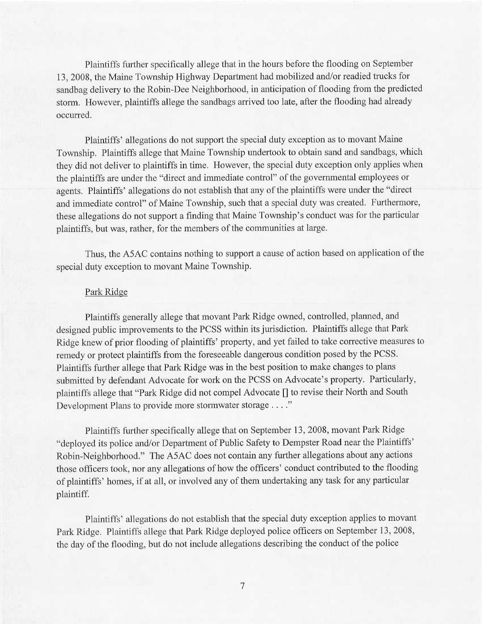Plaintiffs further specifically allege that in the hours before the flooding on September 13, 2008, the Maine Township Highway Department had mobilized and/or readied trucks for sandbag delivery to the Robin-Dee Neighborhood, in anticipation of flooding from the predicted storm. However, plaintiffs allege the sandbags arrived too late, after the flooding had already occurred.

Plaintiffs' allegations do not support the special duty exception as to movant Maine Township. Plaintiffs allege that Maine Township undertook to obtain sand and sandbags, which they did not deliver to plaintiffs in time. However, the special duty exception only applies when the plaintiffs are under the "direct and immediate control" of the governmental employees or agents. Plaintiffs' allegations do not establish that any of the plaintiffs were under the "direct and immediate control" of Maine Township, such that a special duty was created. Furthermore, these allegations do not support a finding that Maine Township's conduct was for the particular plaintiffs, but was, rather, for the members of the communities at large.

Thus, the ASAC contains nothing to support a cause of action based on application of the special duty exception to movant Maine Township.

### Park Ridge

Plaintiffs generally allege that movant Park Ridge owned, controlled, planned, and designed public improvements to the PCSS within its jurisdiction. Plaintiffs allege that Park Ridge knew of prior flooding of plaintiffs' property, and yet failed to take corrective measures to remedy or protect plaintiffs from the foreseeable dangerous condition posed by the PCSS. Plaintiffs further allege that Park Ridge was in the best position to make changes to plans submitted by defendant Advocate for work on the PCSS on Advocate's property. Particularly, plaintiffs allege that "Park Ridge did not compel Advocate [] to revise their North and South Development Plans to provide more stormwater storage . . . ."

Plaintiffs fiuther specifically allege that on September 13, 2008, movant Park Ridge "deployed its police and/or Department of Public Safety to Dempster Road near the Plaintiffs' Robin-Neighborhood." The ASAC does not contain any further allegations about any actions those officers took, nor any allegations of how the officers' conduct contributed to the flooding of plaintiffs' homes, if at all, or involved any of them undertaking any task for any particular plaintiff.

Plaintiffs' allegations do not establish that the special duty exception applies to movant Park Ridge. Plaintiffs allege that Park Ridge deployed police officers on September 13, 2008, the day of the flooding, but do not include allegations describing the conduct of the police